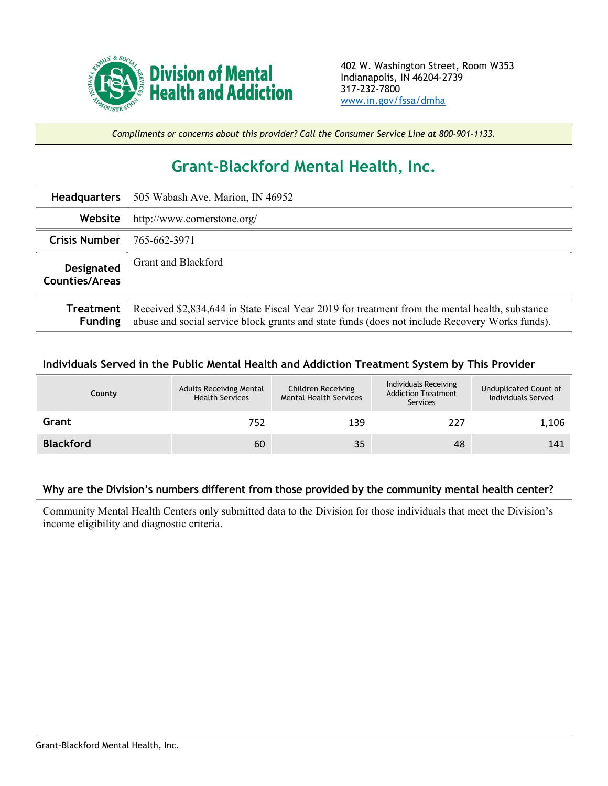

*Compliments or concerns about this provider? Call the Consumer Service Line at 800-901-1133.*

## **Grant-Blackford Mental Health, Inc.**

| <b>Headquarters</b>                 | 505 Wabash Ave. Marion, IN 46952                                                                                                                                                                 |
|-------------------------------------|--------------------------------------------------------------------------------------------------------------------------------------------------------------------------------------------------|
| Website                             | http://www.cornerstone.org/                                                                                                                                                                      |
| <b>Crisis Number</b>                | 765-662-3971                                                                                                                                                                                     |
| Designated<br><b>Counties/Areas</b> | Grant and Blackford                                                                                                                                                                              |
| Treatment<br><b>Funding</b>         | Received \$2,834,644 in State Fiscal Year 2019 for treatment from the mental health, substance<br>abuse and social service block grants and state funds (does not include Recovery Works funds). |

## **Individuals Served in the Public Mental Health and Addiction Treatment System by This Provider**

| County           | <b>Adults Receiving Mental</b><br><b>Health Services</b> | Children Receiving<br><b>Mental Health Services</b> | Individuals Receiving<br><b>Addiction Treatment</b><br>Services | Unduplicated Count of<br>Individuals Served |
|------------------|----------------------------------------------------------|-----------------------------------------------------|-----------------------------------------------------------------|---------------------------------------------|
| Grant            | 752                                                      | 139                                                 | 227                                                             | 1,106                                       |
| <b>Blackford</b> | 60                                                       | 35                                                  | 48                                                              | 141                                         |

## **Why are the Division's numbers different from those provided by the community mental health center?**

Community Mental Health Centers only submitted data to the Division for those individuals that meet the Division's income eligibility and diagnostic criteria.